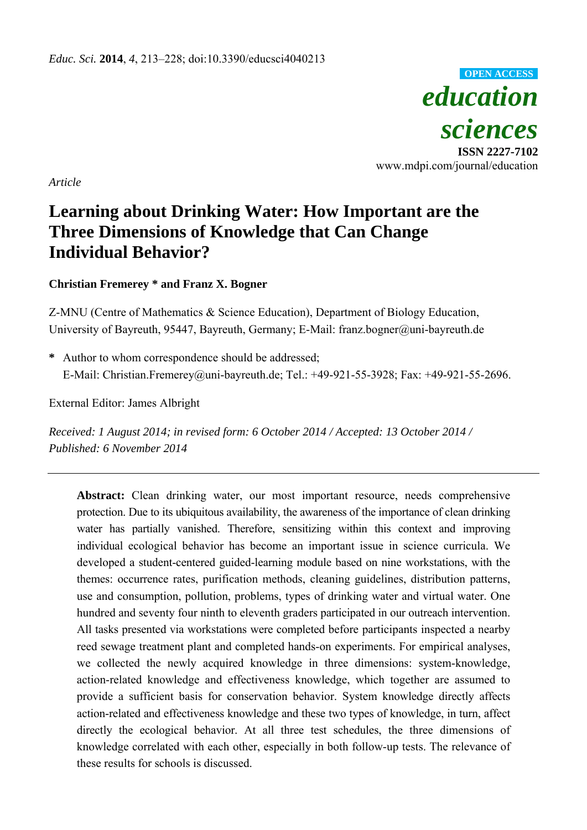

*Article* 

# **Learning about Drinking Water: How Important are the Three Dimensions of Knowledge that Can Change Individual Behavior?**

**Christian Fremerey \* and Franz X. Bogner** 

Z-MNU (Centre of Mathematics & Science Education), Department of Biology Education, University of Bayreuth, 95447, Bayreuth, Germany; E-Mail: franz.bogner@uni-bayreuth.de

**\*** Author to whom correspondence should be addressed; E-Mail: Christian.Fremerey@uni-bayreuth.de; Tel.: +49-921-55-3928; Fax: +49-921-55-2696.

External Editor: James Albright

*Received: 1 August 2014; in revised form: 6 October 2014 / Accepted: 13 October 2014 / Published: 6 November 2014* 

**Abstract:** Clean drinking water, our most important resource, needs comprehensive protection. Due to its ubiquitous availability, the awareness of the importance of clean drinking water has partially vanished. Therefore, sensitizing within this context and improving individual ecological behavior has become an important issue in science curricula. We developed a student-centered guided-learning module based on nine workstations, with the themes: occurrence rates, purification methods, cleaning guidelines, distribution patterns, use and consumption, pollution, problems, types of drinking water and virtual water. One hundred and seventy four ninth to eleventh graders participated in our outreach intervention. All tasks presented via workstations were completed before participants inspected a nearby reed sewage treatment plant and completed hands-on experiments. For empirical analyses, we collected the newly acquired knowledge in three dimensions: system-knowledge, action-related knowledge and effectiveness knowledge, which together are assumed to provide a sufficient basis for conservation behavior. System knowledge directly affects action-related and effectiveness knowledge and these two types of knowledge, in turn, affect directly the ecological behavior. At all three test schedules, the three dimensions of knowledge correlated with each other, especially in both follow-up tests. The relevance of these results for schools is discussed.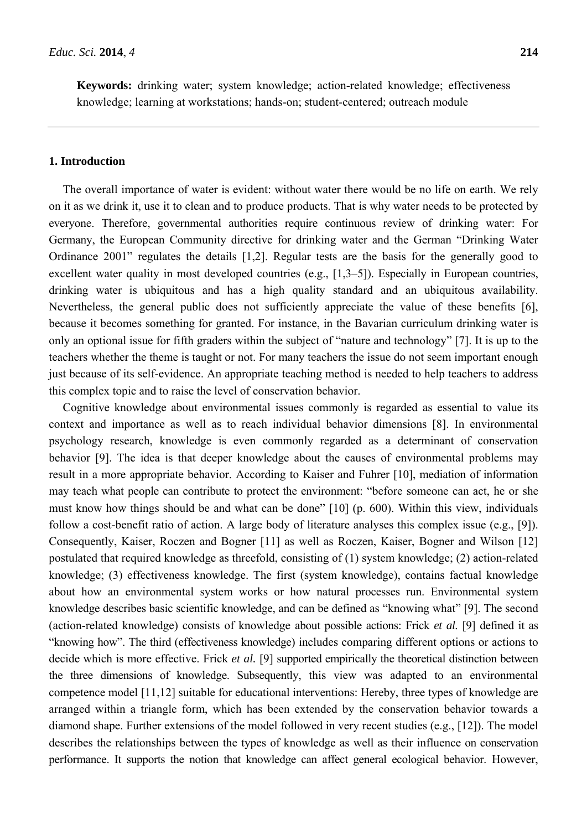**Keywords:** drinking water; system knowledge; action-related knowledge; effectiveness knowledge; learning at workstations; hands-on; student-centered; outreach module

#### **1. Introduction**

The overall importance of water is evident: without water there would be no life on earth. We rely on it as we drink it, use it to clean and to produce products. That is why water needs to be protected by everyone. Therefore, governmental authorities require continuous review of drinking water: For Germany, the European Community directive for drinking water and the German "Drinking Water Ordinance 2001" regulates the details [1,2]. Regular tests are the basis for the generally good to excellent water quality in most developed countries (e.g., [1,3–5]). Especially in European countries, drinking water is ubiquitous and has a high quality standard and an ubiquitous availability. Nevertheless, the general public does not sufficiently appreciate the value of these benefits [6], because it becomes something for granted. For instance, in the Bavarian curriculum drinking water is only an optional issue for fifth graders within the subject of "nature and technology" [7]. It is up to the teachers whether the theme is taught or not. For many teachers the issue do not seem important enough just because of its self-evidence. An appropriate teaching method is needed to help teachers to address this complex topic and to raise the level of conservation behavior.

Cognitive knowledge about environmental issues commonly is regarded as essential to value its context and importance as well as to reach individual behavior dimensions [8]. In environmental psychology research, knowledge is even commonly regarded as a determinant of conservation behavior [9]. The idea is that deeper knowledge about the causes of environmental problems may result in a more appropriate behavior. According to Kaiser and Fuhrer [10], mediation of information may teach what people can contribute to protect the environment: "before someone can act, he or she must know how things should be and what can be done" [10] (p. 600). Within this view, individuals follow a cost-benefit ratio of action. A large body of literature analyses this complex issue (e.g., [9]). Consequently, Kaiser, Roczen and Bogner [11] as well as Roczen, Kaiser, Bogner and Wilson [12] postulated that required knowledge as threefold, consisting of (1) system knowledge; (2) action-related knowledge; (3) effectiveness knowledge. The first (system knowledge), contains factual knowledge about how an environmental system works or how natural processes run. Environmental system knowledge describes basic scientific knowledge, and can be defined as "knowing what" [9]. The second (action-related knowledge) consists of knowledge about possible actions: Frick *et al.* [9] defined it as "knowing how". The third (effectiveness knowledge) includes comparing different options or actions to decide which is more effective. Frick *et al.* [9] supported empirically the theoretical distinction between the three dimensions of knowledge. Subsequently, this view was adapted to an environmental competence model [11,12] suitable for educational interventions: Hereby, three types of knowledge are arranged within a triangle form, which has been extended by the conservation behavior towards a diamond shape. Further extensions of the model followed in very recent studies (e.g., [12]). The model describes the relationships between the types of knowledge as well as their influence on conservation performance. It supports the notion that knowledge can affect general ecological behavior. However,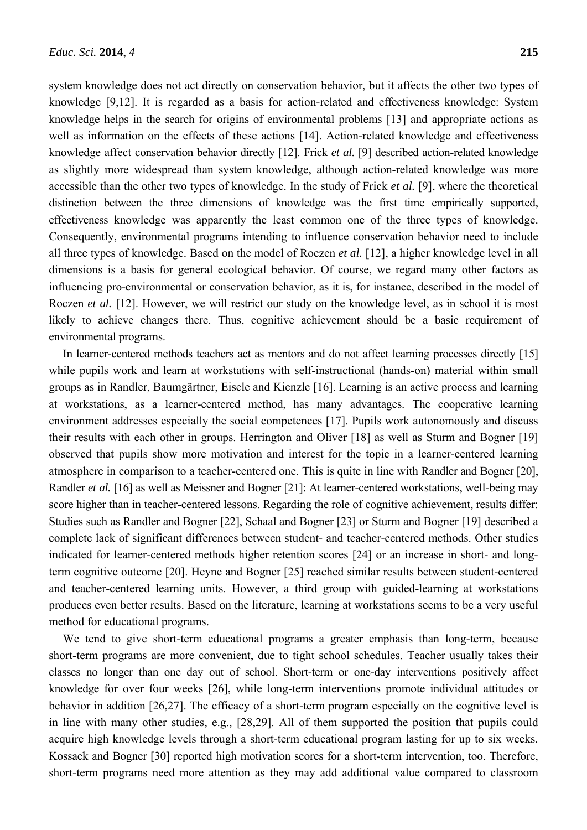system knowledge does not act directly on conservation behavior, but it affects the other two types of knowledge [9,12]. It is regarded as a basis for action-related and effectiveness knowledge: System knowledge helps in the search for origins of environmental problems [13] and appropriate actions as well as information on the effects of these actions [14]. Action-related knowledge and effectiveness knowledge affect conservation behavior directly [12]. Frick *et al.* [9] described action-related knowledge as slightly more widespread than system knowledge, although action-related knowledge was more accessible than the other two types of knowledge. In the study of Frick *et al.* [9], where the theoretical distinction between the three dimensions of knowledge was the first time empirically supported, effectiveness knowledge was apparently the least common one of the three types of knowledge. Consequently, environmental programs intending to influence conservation behavior need to include all three types of knowledge. Based on the model of Roczen *et al.* [12], a higher knowledge level in all dimensions is a basis for general ecological behavior. Of course, we regard many other factors as influencing pro-environmental or conservation behavior, as it is, for instance, described in the model of Roczen *et al.* [12]. However, we will restrict our study on the knowledge level, as in school it is most likely to achieve changes there. Thus, cognitive achievement should be a basic requirement of environmental programs.

In learner-centered methods teachers act as mentors and do not affect learning processes directly [15] while pupils work and learn at workstations with self-instructional (hands-on) material within small groups as in Randler, Baumgärtner, Eisele and Kienzle [16]. Learning is an active process and learning at workstations, as a learner-centered method, has many advantages. The cooperative learning environment addresses especially the social competences [17]. Pupils work autonomously and discuss their results with each other in groups. Herrington and Oliver [18] as well as Sturm and Bogner [19] observed that pupils show more motivation and interest for the topic in a learner-centered learning atmosphere in comparison to a teacher-centered one. This is quite in line with Randler and Bogner [20], Randler *et al.* [16] as well as Meissner and Bogner [21]: At learner-centered workstations, well-being may score higher than in teacher-centered lessons. Regarding the role of cognitive achievement, results differ: Studies such as Randler and Bogner [22], Schaal and Bogner [23] or Sturm and Bogner [19] described a complete lack of significant differences between student- and teacher-centered methods. Other studies indicated for learner-centered methods higher retention scores [24] or an increase in short- and longterm cognitive outcome [20]. Heyne and Bogner [25] reached similar results between student-centered and teacher-centered learning units. However, a third group with guided-learning at workstations produces even better results. Based on the literature, learning at workstations seems to be a very useful method for educational programs.

We tend to give short-term educational programs a greater emphasis than long-term, because short-term programs are more convenient, due to tight school schedules. Teacher usually takes their classes no longer than one day out of school. Short-term or one-day interventions positively affect knowledge for over four weeks [26], while long-term interventions promote individual attitudes or behavior in addition [26,27]. The efficacy of a short-term program especially on the cognitive level is in line with many other studies, e.g., [28,29]. All of them supported the position that pupils could acquire high knowledge levels through a short-term educational program lasting for up to six weeks. Kossack and Bogner [30] reported high motivation scores for a short-term intervention, too. Therefore, short-term programs need more attention as they may add additional value compared to classroom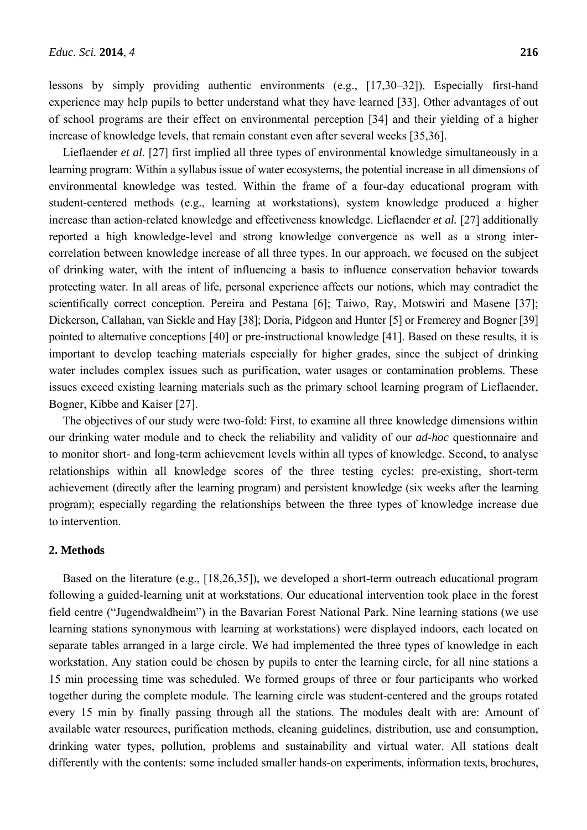lessons by simply providing authentic environments (e.g., [17,30–32]). Especially first-hand experience may help pupils to better understand what they have learned [33]. Other advantages of out of school programs are their effect on environmental perception [34] and their yielding of a higher increase of knowledge levels, that remain constant even after several weeks [35,36].

Lieflaender *et al.* [27] first implied all three types of environmental knowledge simultaneously in a learning program: Within a syllabus issue of water ecosystems, the potential increase in all dimensions of environmental knowledge was tested. Within the frame of a four-day educational program with student-centered methods (e.g., learning at workstations), system knowledge produced a higher increase than action-related knowledge and effectiveness knowledge. Lieflaender *et al.* [27] additionally reported a high knowledge-level and strong knowledge convergence as well as a strong intercorrelation between knowledge increase of all three types. In our approach, we focused on the subject of drinking water, with the intent of influencing a basis to influence conservation behavior towards protecting water. In all areas of life, personal experience affects our notions, which may contradict the scientifically correct conception. Pereira and Pestana [6]; Taiwo, Ray, Motswiri and Masene [37]; Dickerson, Callahan, van Sickle and Hay [38]; Doria, Pidgeon and Hunter [5] or Fremerey and Bogner [39] pointed to alternative conceptions [40] or pre-instructional knowledge [41]. Based on these results, it is important to develop teaching materials especially for higher grades, since the subject of drinking water includes complex issues such as purification, water usages or contamination problems. These issues exceed existing learning materials such as the primary school learning program of Lieflaender, Bogner, Kibbe and Kaiser [27].

The objectives of our study were two-fold: First, to examine all three knowledge dimensions within our drinking water module and to check the reliability and validity of our *ad-hoc* questionnaire and to monitor short- and long-term achievement levels within all types of knowledge. Second, to analyse relationships within all knowledge scores of the three testing cycles: pre-existing, short-term achievement (directly after the learning program) and persistent knowledge (six weeks after the learning program); especially regarding the relationships between the three types of knowledge increase due to intervention.

## **2. Methods**

Based on the literature (e.g., [18,26,35]), we developed a short-term outreach educational program following a guided-learning unit at workstations. Our educational intervention took place in the forest field centre ("Jugendwaldheim") in the Bavarian Forest National Park. Nine learning stations (we use learning stations synonymous with learning at workstations) were displayed indoors, each located on separate tables arranged in a large circle. We had implemented the three types of knowledge in each workstation. Any station could be chosen by pupils to enter the learning circle, for all nine stations a 15 min processing time was scheduled. We formed groups of three or four participants who worked together during the complete module. The learning circle was student-centered and the groups rotated every 15 min by finally passing through all the stations. The modules dealt with are: Amount of available water resources, purification methods, cleaning guidelines, distribution, use and consumption, drinking water types, pollution, problems and sustainability and virtual water. All stations dealt differently with the contents: some included smaller hands-on experiments, information texts, brochures,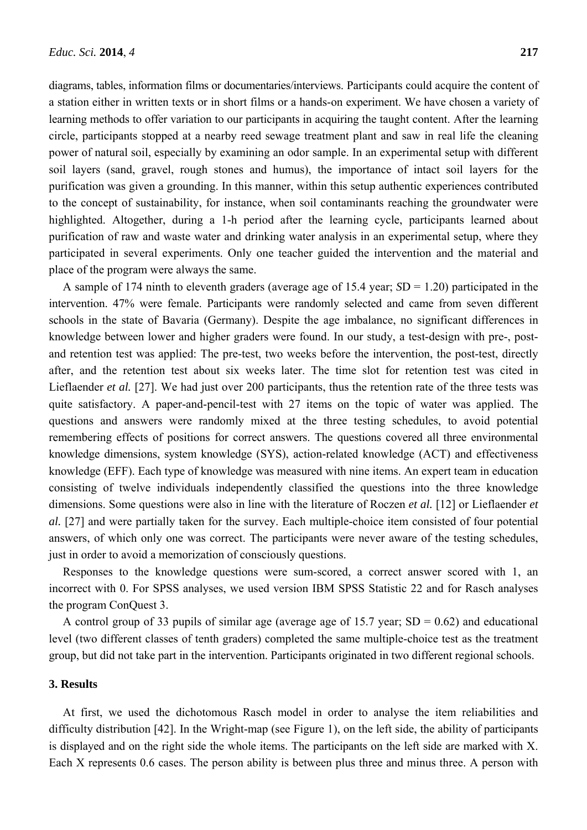diagrams, tables, information films or documentaries/interviews. Participants could acquire the content of a station either in written texts or in short films or a hands-on experiment. We have chosen a variety of learning methods to offer variation to our participants in acquiring the taught content. After the learning circle, participants stopped at a nearby reed sewage treatment plant and saw in real life the cleaning power of natural soil, especially by examining an odor sample. In an experimental setup with different soil layers (sand, gravel, rough stones and humus), the importance of intact soil layers for the purification was given a grounding. In this manner, within this setup authentic experiences contributed to the concept of sustainability, for instance, when soil contaminants reaching the groundwater were highlighted. Altogether, during a 1-h period after the learning cycle, participants learned about purification of raw and waste water and drinking water analysis in an experimental setup, where they participated in several experiments. Only one teacher guided the intervention and the material and place of the program were always the same.

A sample of 174 ninth to eleventh graders (average age of 15.4 year; *S*D = 1.20) participated in the intervention. 47% were female. Participants were randomly selected and came from seven different schools in the state of Bavaria (Germany). Despite the age imbalance, no significant differences in knowledge between lower and higher graders were found. In our study, a test-design with pre-, postand retention test was applied: The pre-test, two weeks before the intervention, the post-test, directly after, and the retention test about six weeks later. The time slot for retention test was cited in Lieflaender *et al.* [27]. We had just over 200 participants, thus the retention rate of the three tests was quite satisfactory. A paper-and-pencil-test with 27 items on the topic of water was applied. The questions and answers were randomly mixed at the three testing schedules, to avoid potential remembering effects of positions for correct answers. The questions covered all three environmental knowledge dimensions, system knowledge (SYS), action-related knowledge (ACT) and effectiveness knowledge (EFF). Each type of knowledge was measured with nine items. An expert team in education consisting of twelve individuals independently classified the questions into the three knowledge dimensions. Some questions were also in line with the literature of Roczen *et al.* [12] or Lieflaender *et al.* [27] and were partially taken for the survey. Each multiple-choice item consisted of four potential answers, of which only one was correct. The participants were never aware of the testing schedules, just in order to avoid a memorization of consciously questions.

Responses to the knowledge questions were sum-scored, a correct answer scored with 1, an incorrect with 0. For SPSS analyses, we used version IBM SPSS Statistic 22 and for Rasch analyses the program ConQuest 3.

A control group of 33 pupils of similar age (average age of 15.7 year;  $SD = 0.62$ ) and educational level (two different classes of tenth graders) completed the same multiple-choice test as the treatment group, but did not take part in the intervention. Participants originated in two different regional schools.

## **3. Results**

At first, we used the dichotomous Rasch model in order to analyse the item reliabilities and difficulty distribution [42]. In the Wright-map (see Figure 1), on the left side, the ability of participants is displayed and on the right side the whole items. The participants on the left side are marked with X. Each X represents 0.6 cases. The person ability is between plus three and minus three. A person with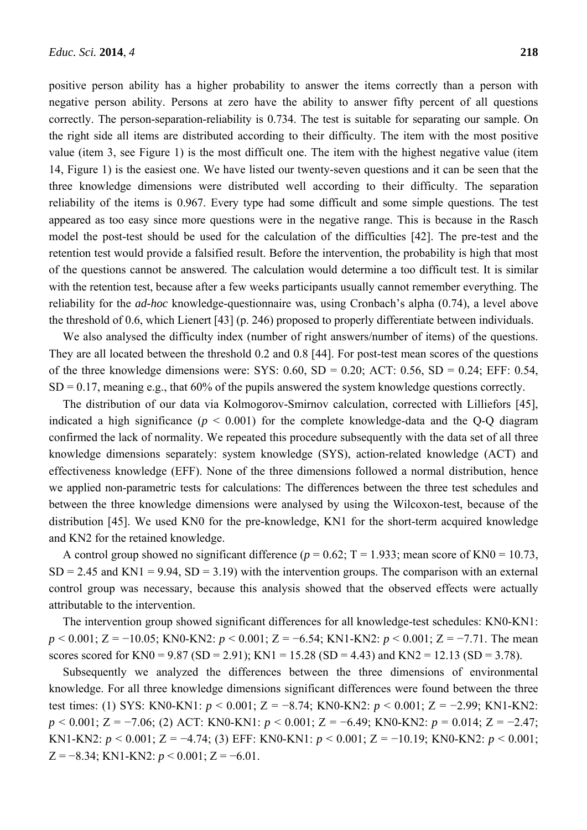positive person ability has a higher probability to answer the items correctly than a person with negative person ability. Persons at zero have the ability to answer fifty percent of all questions correctly. The person-separation-reliability is 0.734. The test is suitable for separating our sample. On the right side all items are distributed according to their difficulty. The item with the most positive value (item 3, see Figure 1) is the most difficult one. The item with the highest negative value (item 14, Figure 1) is the easiest one. We have listed our twenty-seven questions and it can be seen that the three knowledge dimensions were distributed well according to their difficulty. The separation reliability of the items is 0.967. Every type had some difficult and some simple questions. The test appeared as too easy since more questions were in the negative range. This is because in the Rasch model the post-test should be used for the calculation of the difficulties [42]. The pre-test and the retention test would provide a falsified result. Before the intervention, the probability is high that most of the questions cannot be answered. The calculation would determine a too difficult test. It is similar with the retention test, because after a few weeks participants usually cannot remember everything. The reliability for the *ad-hoc* knowledge-questionnaire was, using Cronbach's alpha (0.74), a level above the threshold of 0.6, which Lienert [43] (p. 246) proposed to properly differentiate between individuals.

We also analysed the difficulty index (number of right answers/number of items) of the questions. They are all located between the threshold 0.2 and 0.8 [44]. For post-test mean scores of the questions of the three knowledge dimensions were: SYS:  $0.60$ , SD =  $0.20$ ; ACT:  $0.56$ , SD =  $0.24$ ; EFF:  $0.54$ ,  $SD = 0.17$ , meaning e.g., that 60% of the pupils answered the system knowledge questions correctly.

The distribution of our data via Kolmogorov-Smirnov calculation, corrected with Lilliefors [45], indicated a high significance ( $p < 0.001$ ) for the complete knowledge-data and the Q-Q diagram confirmed the lack of normality. We repeated this procedure subsequently with the data set of all three knowledge dimensions separately: system knowledge (SYS), action-related knowledge (ACT) and effectiveness knowledge (EFF). None of the three dimensions followed a normal distribution, hence we applied non-parametric tests for calculations: The differences between the three test schedules and between the three knowledge dimensions were analysed by using the Wilcoxon-test, because of the distribution [45]. We used KN0 for the pre-knowledge, KN1 for the short-term acquired knowledge and KN2 for the retained knowledge.

A control group showed no significant difference ( $p = 0.62$ ; T = 1.933; mean score of KN0 = 10.73,  $SD = 2.45$  and  $KN1 = 9.94$ ,  $SD = 3.19$ ) with the intervention groups. The comparison with an external control group was necessary, because this analysis showed that the observed effects were actually attributable to the intervention.

The intervention group showed significant differences for all knowledge-test schedules: KN0-KN1: *p* < 0.001; Z = −10.05; KN0-KN2: *p* < 0.001; Z = −6.54; KN1-KN2: *p* < 0.001; Z = −7.71. The mean scores scored for KN0 = 9.87 (SD = 2.91); KN1 = 15.28 (SD = 4.43) and KN2 = 12.13 (SD = 3.78).

Subsequently we analyzed the differences between the three dimensions of environmental knowledge. For all three knowledge dimensions significant differences were found between the three test times: (1) SYS: KN0-KN1: *p* < 0.001; Z = −8.74; KN0-KN2: *p* < 0.001; Z = −2.99; KN1-KN2: *p* < 0.001; Z = −7.06; (2) ACT: KN0-KN1: *p* < 0.001; Z = −6.49; KN0-KN2: *p* = 0.014; Z = −2.47; KN1-KN2: *p* < 0.001; Z = −4.74; (3) EFF: KN0-KN1: *p* < 0.001; Z = −10.19; KN0-KN2: *p* < 0.001;  $Z = -8.34$ ; KN1-KN2:  $p < 0.001$ ;  $Z = -6.01$ .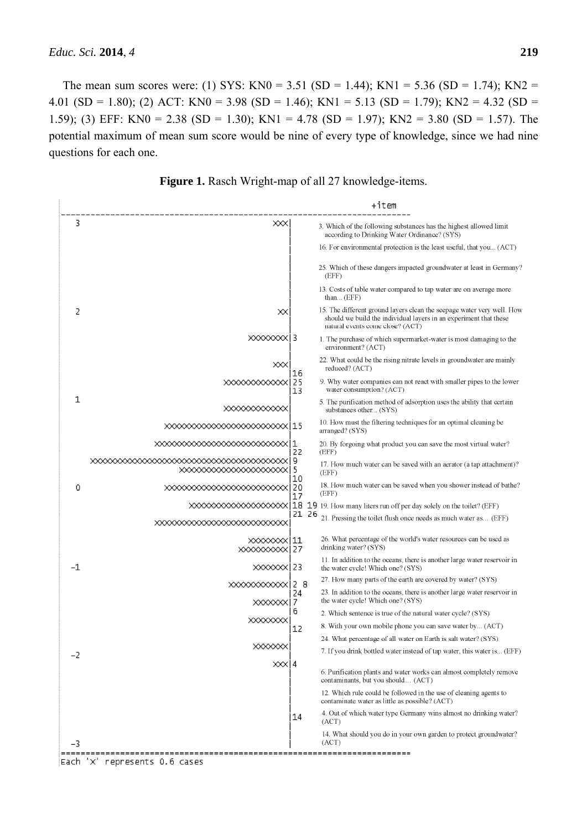The mean sum scores were: (1) SYS: KN0 = 3.51 (SD = 1.44); KN1 = 5.36 (SD = 1.74); KN2 = 4.01 (SD = 1.80); (2) ACT: KN0 = 3.98 (SD = 1.46); KN1 = 5.13 (SD = 1.79); KN2 = 4.32 (SD = 1.59); (3) EFF: KN0 = 2.38 (SD = 1.30); KN1 = 4.78 (SD = 1.97); KN2 = 3.80 (SD = 1.57). The potential maximum of mean sum score would be nine of every type of knowledge, since we had nine questions for each one.



**Figure 1.** Rasch Wright-map of all 27 knowledge-items.

Each 'X' represents 0.6 cases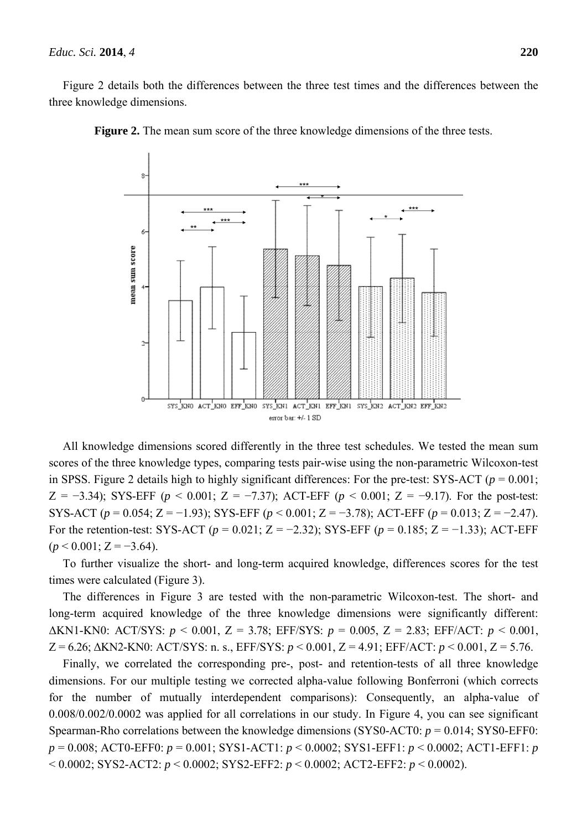Figure 2 details both the differences between the three test times and the differences between the three knowledge dimensions.



**Figure 2.** The mean sum score of the three knowledge dimensions of the three tests.

All knowledge dimensions scored differently in the three test schedules. We tested the mean sum scores of the three knowledge types, comparing tests pair-wise using the non-parametric Wilcoxon-test in SPSS. Figure 2 details high to highly significant differences: For the pre-test: SYS-ACT ( $p = 0.001$ ; Z = −3.34); SYS-EFF ( $p$  < 0.001; Z = −7.37); ACT-EFF ( $p$  < 0.001; Z = −9.17). For the post-test: SYS-ACT (*p* = 0.054; Z = −1.93); SYS-EFF (*p* < 0.001; Z = −3.78); ACT-EFF (*p* = 0.013; Z = −2.47). For the retention-test: SYS-ACT (*p* = 0.021; Z = −2.32); SYS-EFF (*p* = 0.185; Z = −1.33); ACT-EFF  $(p < 0.001; Z = -3.64)$ .

To further visualize the short- and long-term acquired knowledge, differences scores for the test times were calculated (Figure 3).

The differences in Figure 3 are tested with the non-parametric Wilcoxon-test. The short- and long-term acquired knowledge of the three knowledge dimensions were significantly different: ΔKN1-KN0: ACT/SYS: *p* < 0.001, Z = 3.78; EFF/SYS: *p* = 0.005, Z = 2.83; EFF/ACT: *p* < 0.001, Z = 6.26; ΔKN2-KN0: ACT/SYS: n. s., EFF/SYS: *p* < 0.001, Z = 4.91; EFF/ACT: *p* < 0.001, Z = 5.76.

Finally, we correlated the corresponding pre-, post- and retention-tests of all three knowledge dimensions. For our multiple testing we corrected alpha-value following Bonferroni (which corrects for the number of mutually interdependent comparisons): Consequently, an alpha-value of 0.008/0.002/0.0002 was applied for all correlations in our study. In Figure 4, you can see significant Spearman-Rho correlations between the knowledge dimensions (SYS0-ACT0: *p* = 0.014; SYS0-EFF0: *p* = 0.008; ACT0-EFF0: *p* = 0.001; SYS1-ACT1: *p* < 0.0002; SYS1-EFF1: *p* < 0.0002; ACT1-EFF1: *p* < 0.0002; SYS2-ACT2: *p* < 0.0002; SYS2-EFF2: *p* < 0.0002; ACT2-EFF2: *p* < 0.0002).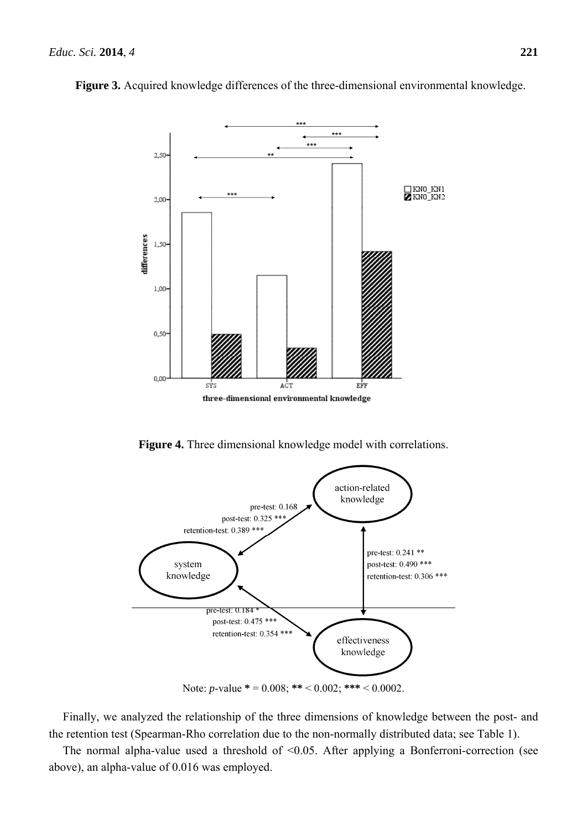

**Figure 3.** Acquired knowledge differences of the three-dimensional environmental knowledge.

**Figure 4.** Three dimensional knowledge model with correlations.



Note: *p*-value **\*** = 0.008; **\*\*** < 0.002; **\*\*\*** < 0.0002.

Finally, we analyzed the relationship of the three dimensions of knowledge between the post- and the retention test (Spearman-Rho correlation due to the non-normally distributed data; see Table 1).

The normal alpha-value used a threshold of  $\leq 0.05$ . After applying a Bonferroni-correction (see above), an alpha-value of 0.016 was employed.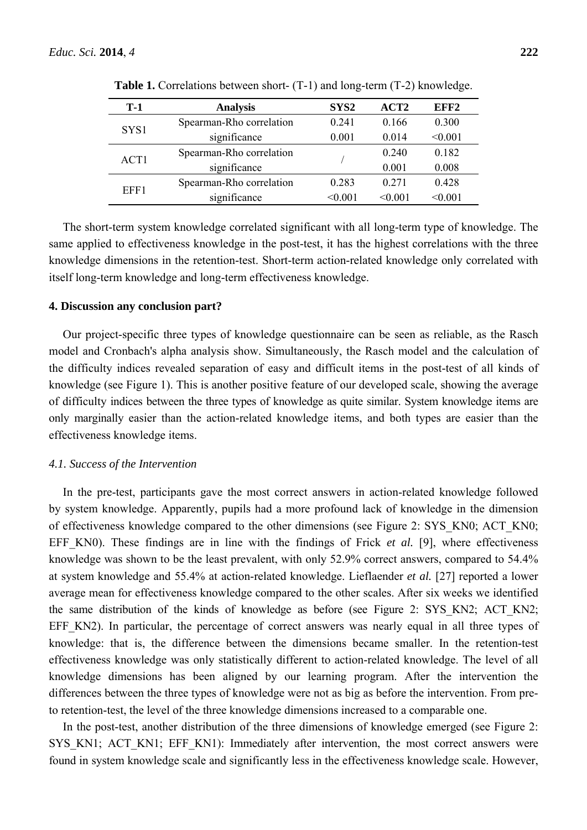| $T-1$ | <b>Analysis</b>          | SYS <sub>2</sub> | ACT <sub>2</sub> | EFF <sub>2</sub> |
|-------|--------------------------|------------------|------------------|------------------|
| SYS1  | Spearman-Rho correlation | 0 241            | 0.166            | 0.300            |
|       | significance             | 0.001            | 0.014            | < 0.001          |
| ACT1  | Spearman-Rho correlation |                  | 0.240            | 0.182            |
|       | significance             |                  | 0.001            | 0.008            |
| EFF1  | Spearman-Rho correlation | 0.283            | 0 2 7 1          | 0.428            |
|       | significance             | < 0.001          | < 0.001          | < 0.001          |

**Table 1.** Correlations between short- (T-1) and long-term (T-2) knowledge.

The short-term system knowledge correlated significant with all long-term type of knowledge. The same applied to effectiveness knowledge in the post-test, it has the highest correlations with the three knowledge dimensions in the retention-test. Short-term action-related knowledge only correlated with itself long-term knowledge and long-term effectiveness knowledge.

#### **4. Discussion any conclusion part?**

Our project-specific three types of knowledge questionnaire can be seen as reliable, as the Rasch model and Cronbach's alpha analysis show. Simultaneously, the Rasch model and the calculation of the difficulty indices revealed separation of easy and difficult items in the post-test of all kinds of knowledge (see Figure 1). This is another positive feature of our developed scale, showing the average of difficulty indices between the three types of knowledge as quite similar. System knowledge items are only marginally easier than the action-related knowledge items, and both types are easier than the effectiveness knowledge items.

#### *4.1. Success of the Intervention*

In the pre-test, participants gave the most correct answers in action-related knowledge followed by system knowledge. Apparently, pupils had a more profound lack of knowledge in the dimension of effectiveness knowledge compared to the other dimensions (see Figure 2: SYS\_KN0; ACT\_KN0; EFF KN0). These findings are in line with the findings of Frick *et al.* [9], where effectiveness knowledge was shown to be the least prevalent, with only 52.9% correct answers, compared to 54.4% at system knowledge and 55.4% at action-related knowledge. Lieflaender *et al.* [27] reported a lower average mean for effectiveness knowledge compared to the other scales. After six weeks we identified the same distribution of the kinds of knowledge as before (see Figure 2: SYS KN2; ACT KN2; EFF KN2). In particular, the percentage of correct answers was nearly equal in all three types of knowledge: that is, the difference between the dimensions became smaller. In the retention-test effectiveness knowledge was only statistically different to action-related knowledge. The level of all knowledge dimensions has been aligned by our learning program. After the intervention the differences between the three types of knowledge were not as big as before the intervention. From preto retention-test, the level of the three knowledge dimensions increased to a comparable one.

In the post-test, another distribution of the three dimensions of knowledge emerged (see Figure 2: SYS\_KN1; ACT\_KN1; EFF\_KN1): Immediately after intervention, the most correct answers were found in system knowledge scale and significantly less in the effectiveness knowledge scale. However,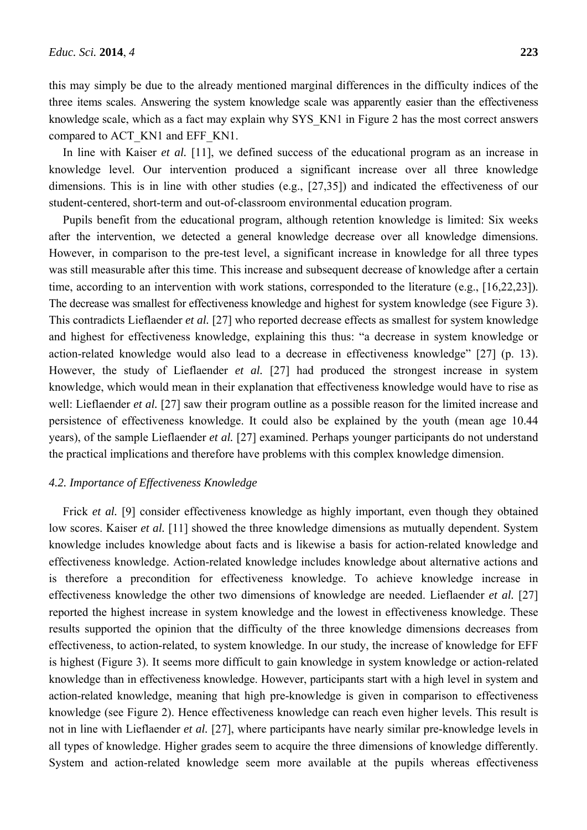this may simply be due to the already mentioned marginal differences in the difficulty indices of the three items scales. Answering the system knowledge scale was apparently easier than the effectiveness knowledge scale, which as a fact may explain why SYS\_KN1 in Figure 2 has the most correct answers compared to ACT\_KN1 and EFF\_KN1.

In line with Kaiser *et al.* [11], we defined success of the educational program as an increase in knowledge level. Our intervention produced a significant increase over all three knowledge dimensions. This is in line with other studies (e.g., [27,35]) and indicated the effectiveness of our student-centered, short-term and out-of-classroom environmental education program.

Pupils benefit from the educational program, although retention knowledge is limited: Six weeks after the intervention, we detected a general knowledge decrease over all knowledge dimensions. However, in comparison to the pre-test level, a significant increase in knowledge for all three types was still measurable after this time. This increase and subsequent decrease of knowledge after a certain time, according to an intervention with work stations, corresponded to the literature (e.g., [16,22,23]). The decrease was smallest for effectiveness knowledge and highest for system knowledge (see Figure 3). This contradicts Lieflaender *et al.* [27] who reported decrease effects as smallest for system knowledge and highest for effectiveness knowledge, explaining this thus: "a decrease in system knowledge or action-related knowledge would also lead to a decrease in effectiveness knowledge" [27] (p. 13). However, the study of Lieflaender *et al.* [27] had produced the strongest increase in system knowledge, which would mean in their explanation that effectiveness knowledge would have to rise as well: Lieflaender *et al.* [27] saw their program outline as a possible reason for the limited increase and persistence of effectiveness knowledge. It could also be explained by the youth (mean age 10.44 years), of the sample Lieflaender *et al.* [27] examined. Perhaps younger participants do not understand the practical implications and therefore have problems with this complex knowledge dimension.

### *4.2. Importance of Effectiveness Knowledge*

Frick *et al.* [9] consider effectiveness knowledge as highly important, even though they obtained low scores. Kaiser *et al.* [11] showed the three knowledge dimensions as mutually dependent. System knowledge includes knowledge about facts and is likewise a basis for action-related knowledge and effectiveness knowledge. Action-related knowledge includes knowledge about alternative actions and is therefore a precondition for effectiveness knowledge. To achieve knowledge increase in effectiveness knowledge the other two dimensions of knowledge are needed. Lieflaender *et al.* [27] reported the highest increase in system knowledge and the lowest in effectiveness knowledge. These results supported the opinion that the difficulty of the three knowledge dimensions decreases from effectiveness, to action-related, to system knowledge. In our study, the increase of knowledge for EFF is highest (Figure 3). It seems more difficult to gain knowledge in system knowledge or action-related knowledge than in effectiveness knowledge. However, participants start with a high level in system and action-related knowledge, meaning that high pre-knowledge is given in comparison to effectiveness knowledge (see Figure 2). Hence effectiveness knowledge can reach even higher levels. This result is not in line with Lieflaender *et al.* [27], where participants have nearly similar pre-knowledge levels in all types of knowledge. Higher grades seem to acquire the three dimensions of knowledge differently. System and action-related knowledge seem more available at the pupils whereas effectiveness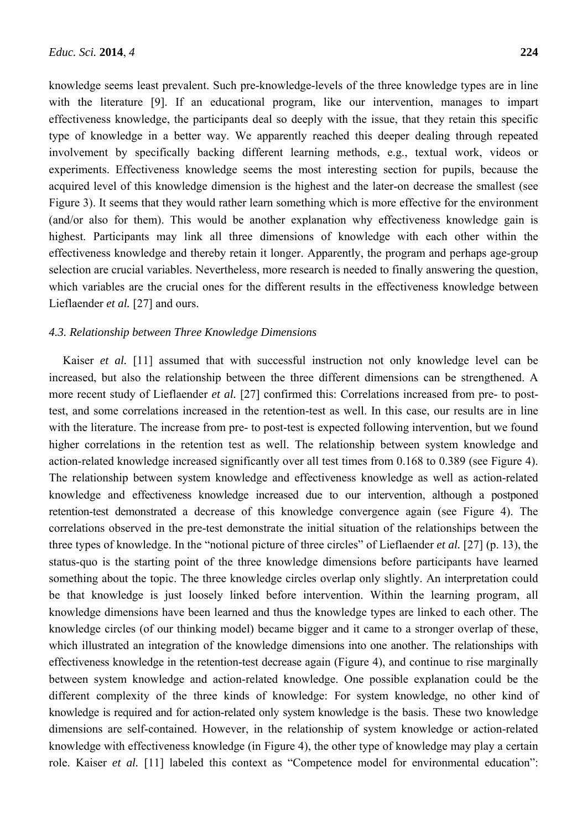knowledge seems least prevalent. Such pre-knowledge-levels of the three knowledge types are in line with the literature [9]. If an educational program, like our intervention, manages to impart effectiveness knowledge, the participants deal so deeply with the issue, that they retain this specific type of knowledge in a better way. We apparently reached this deeper dealing through repeated involvement by specifically backing different learning methods, e.g., textual work, videos or experiments. Effectiveness knowledge seems the most interesting section for pupils, because the acquired level of this knowledge dimension is the highest and the later-on decrease the smallest (see Figure 3). It seems that they would rather learn something which is more effective for the environment (and/or also for them). This would be another explanation why effectiveness knowledge gain is highest. Participants may link all three dimensions of knowledge with each other within the effectiveness knowledge and thereby retain it longer. Apparently, the program and perhaps age-group selection are crucial variables. Nevertheless, more research is needed to finally answering the question, which variables are the crucial ones for the different results in the effectiveness knowledge between Lieflaender *et al.* [27] and ours.

#### *4.3. Relationship between Three Knowledge Dimensions*

Kaiser *et al.* [11] assumed that with successful instruction not only knowledge level can be increased, but also the relationship between the three different dimensions can be strengthened. A more recent study of Lieflaender *et al.* [27] confirmed this: Correlations increased from pre- to posttest, and some correlations increased in the retention-test as well. In this case, our results are in line with the literature. The increase from pre- to post-test is expected following intervention, but we found higher correlations in the retention test as well. The relationship between system knowledge and action-related knowledge increased significantly over all test times from 0.168 to 0.389 (see Figure 4). The relationship between system knowledge and effectiveness knowledge as well as action-related knowledge and effectiveness knowledge increased due to our intervention, although a postponed retention-test demonstrated a decrease of this knowledge convergence again (see Figure 4). The correlations observed in the pre-test demonstrate the initial situation of the relationships between the three types of knowledge. In the "notional picture of three circles" of Lieflaender *et al.* [27] (p. 13), the status-quo is the starting point of the three knowledge dimensions before participants have learned something about the topic. The three knowledge circles overlap only slightly. An interpretation could be that knowledge is just loosely linked before intervention. Within the learning program, all knowledge dimensions have been learned and thus the knowledge types are linked to each other. The knowledge circles (of our thinking model) became bigger and it came to a stronger overlap of these, which illustrated an integration of the knowledge dimensions into one another. The relationships with effectiveness knowledge in the retention-test decrease again (Figure 4), and continue to rise marginally between system knowledge and action-related knowledge. One possible explanation could be the different complexity of the three kinds of knowledge: For system knowledge, no other kind of knowledge is required and for action-related only system knowledge is the basis. These two knowledge dimensions are self-contained. However, in the relationship of system knowledge or action-related knowledge with effectiveness knowledge (in Figure 4), the other type of knowledge may play a certain role. Kaiser *et al.* [11] labeled this context as "Competence model for environmental education":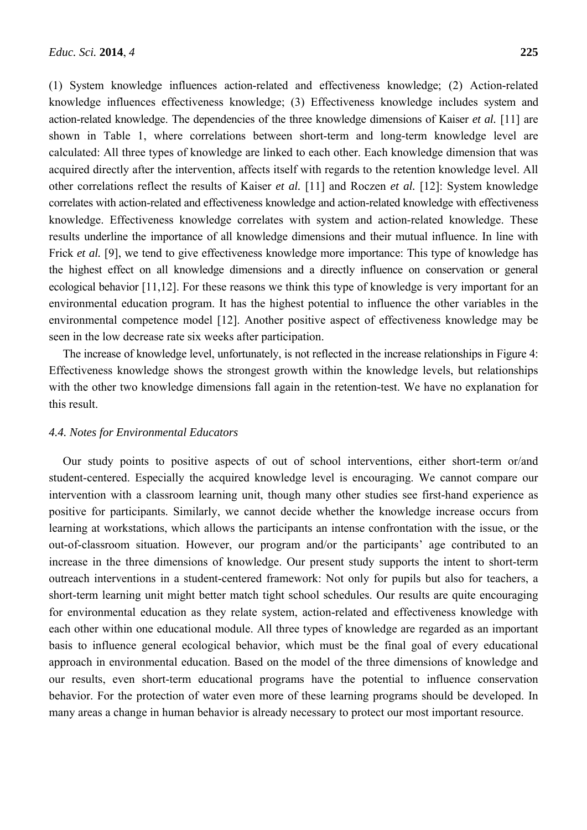(1) System knowledge influences action-related and effectiveness knowledge; (2) Action-related knowledge influences effectiveness knowledge; (3) Effectiveness knowledge includes system and action-related knowledge. The dependencies of the three knowledge dimensions of Kaiser *et al.* [11] are shown in Table 1, where correlations between short-term and long-term knowledge level are calculated: All three types of knowledge are linked to each other. Each knowledge dimension that was acquired directly after the intervention, affects itself with regards to the retention knowledge level. All other correlations reflect the results of Kaiser *et al.* [11] and Roczen *et al.* [12]: System knowledge correlates with action-related and effectiveness knowledge and action-related knowledge with effectiveness knowledge. Effectiveness knowledge correlates with system and action-related knowledge. These results underline the importance of all knowledge dimensions and their mutual influence. In line with Frick *et al.* [9], we tend to give effectiveness knowledge more importance: This type of knowledge has the highest effect on all knowledge dimensions and a directly influence on conservation or general ecological behavior [11,12]. For these reasons we think this type of knowledge is very important for an environmental education program. It has the highest potential to influence the other variables in the environmental competence model [12]. Another positive aspect of effectiveness knowledge may be seen in the low decrease rate six weeks after participation.

The increase of knowledge level, unfortunately, is not reflected in the increase relationships in Figure 4: Effectiveness knowledge shows the strongest growth within the knowledge levels, but relationships with the other two knowledge dimensions fall again in the retention-test. We have no explanation for this result.

#### *4.4. Notes for Environmental Educators*

Our study points to positive aspects of out of school interventions, either short-term or/and student-centered. Especially the acquired knowledge level is encouraging. We cannot compare our intervention with a classroom learning unit, though many other studies see first-hand experience as positive for participants. Similarly, we cannot decide whether the knowledge increase occurs from learning at workstations, which allows the participants an intense confrontation with the issue, or the out-of-classroom situation. However, our program and/or the participants' age contributed to an increase in the three dimensions of knowledge. Our present study supports the intent to short-term outreach interventions in a student-centered framework: Not only for pupils but also for teachers, a short-term learning unit might better match tight school schedules. Our results are quite encouraging for environmental education as they relate system, action-related and effectiveness knowledge with each other within one educational module. All three types of knowledge are regarded as an important basis to influence general ecological behavior, which must be the final goal of every educational approach in environmental education. Based on the model of the three dimensions of knowledge and our results, even short-term educational programs have the potential to influence conservation behavior. For the protection of water even more of these learning programs should be developed. In many areas a change in human behavior is already necessary to protect our most important resource.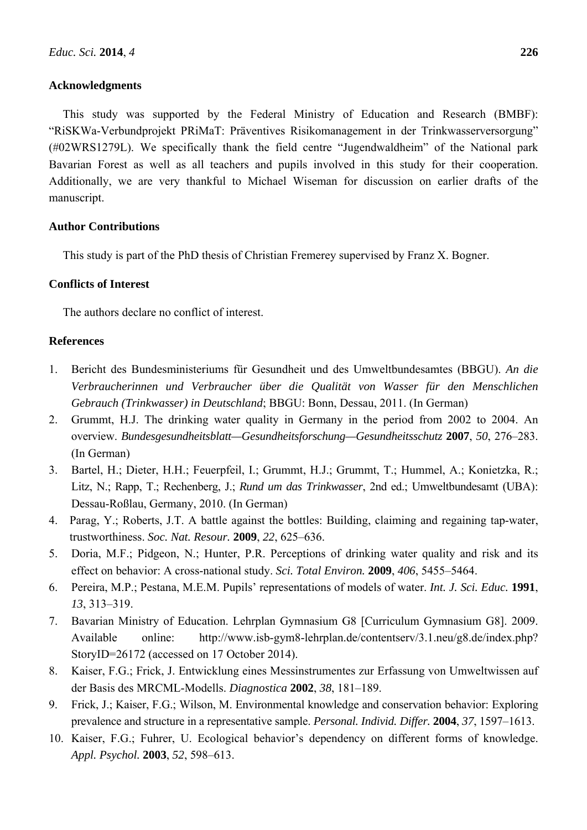## **Acknowledgments**

This study was supported by the Federal Ministry of Education and Research (BMBF): "RiSKWa-Verbundprojekt PRiMaT: Präventives Risikomanagement in der Trinkwasserversorgung" (#02WRS1279L). We specifically thank the field centre "Jugendwaldheim" of the National park Bavarian Forest as well as all teachers and pupils involved in this study for their cooperation. Additionally, we are very thankful to Michael Wiseman for discussion on earlier drafts of the manuscript.

## **Author Contributions**

This study is part of the PhD thesis of Christian Fremerey supervised by Franz X. Bogner.

## **Conflicts of Interest**

The authors declare no conflict of interest.

## **References**

- 1. Bericht des Bundesministeriums für Gesundheit und des Umweltbundesamtes (BBGU). *An die Verbraucherinnen und Verbraucher über die Qualität von Wasser für den Menschlichen Gebrauch (Trinkwasser) in Deutschland*; BBGU: Bonn, Dessau, 2011. (In German)
- 2. Grummt, H.J. The drinking water quality in Germany in the period from 2002 to 2004. An overview. *Bundesgesundheitsblatt—Gesundheitsforschung—Gesundheitsschutz* **2007**, *50*, 276–283. (In German)
- 3. Bartel, H.; Dieter, H.H.; Feuerpfeil, I.; Grummt, H.J.; Grummt, T.; Hummel, A.; Konietzka, R.; Litz, N.; Rapp, T.; Rechenberg, J.; *Rund um das Trinkwasser*, 2nd ed.; Umweltbundesamt (UBA): Dessau-Roßlau, Germany, 2010. (In German)
- 4. Parag, Y.; Roberts, J.T. A battle against the bottles: Building, claiming and regaining tap-water, trustworthiness. *Soc. Nat. Resour.* **2009**, *22*, 625–636.
- 5. Doria, M.F.; Pidgeon, N.; Hunter, P.R. Perceptions of drinking water quality and risk and its effect on behavior: A cross-national study. *Sci. Total Environ.* **2009**, *406*, 5455–5464.
- 6. Pereira, M.P.; Pestana, M.E.M. Pupils' representations of models of water. *Int. J. Sci. Educ.* **1991**, *13*, 313–319.
- 7. Bavarian Ministry of Education. Lehrplan Gymnasium G8 [Curriculum Gymnasium G8]. 2009. Available online: http://www.isb-gym8-lehrplan.de/contentserv/3.1.neu/g8.de/index.php? StoryID=26172 (accessed on 17 October 2014).
- 8. Kaiser, F.G.; Frick, J. Entwicklung eines Messinstrumentes zur Erfassung von Umweltwissen auf der Basis des MRCML-Modells. *Diagnostica* **2002**, *38*, 181–189.
- 9. Frick, J.; Kaiser, F.G.; Wilson, M. Environmental knowledge and conservation behavior: Exploring prevalence and structure in a representative sample. *Personal. Individ. Differ.* **2004**, *37*, 1597–1613.
- 10. Kaiser, F.G.; Fuhrer, U. Ecological behavior's dependency on different forms of knowledge. *Appl. Psychol.* **2003**, *52*, 598–613.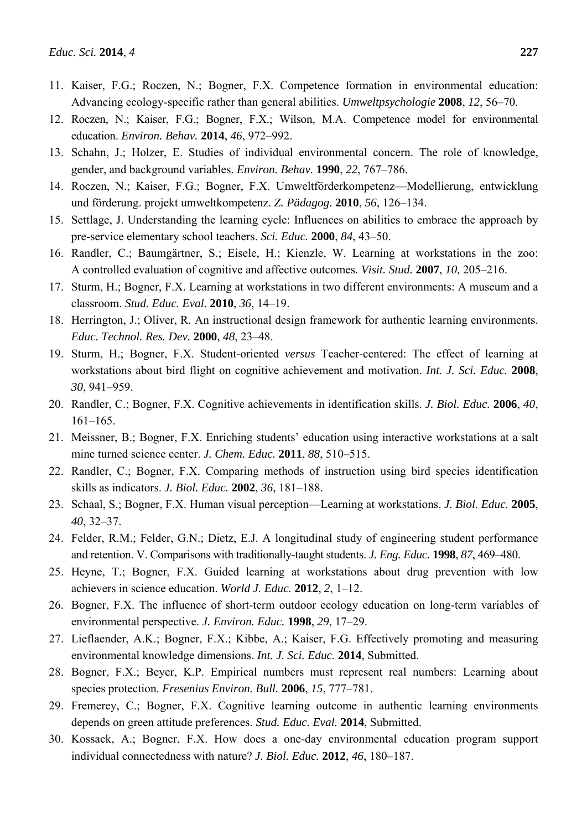- 11. Kaiser, F.G.; Roczen, N.; Bogner, F.X. Competence formation in environmental education: Advancing ecology-specific rather than general abilities. *Umweltpsychologie* **2008**, *12*, 56–70.
- 12. Roczen, N.; Kaiser, F.G.; Bogner, F.X.; Wilson, M.A. Competence model for environmental education. *Environ. Behav.* **2014**, *46*, 972–992.
- 13. Schahn, J.; Holzer, E. Studies of individual environmental concern. The role of knowledge, gender, and background variables. *Environ. Behav.* **1990**, *22*, 767–786.
- 14. Roczen, N.; Kaiser, F.G.; Bogner, F.X. Umweltförderkompetenz—Modellierung, entwicklung und förderung. projekt umweltkompetenz. *Z. Pädagog.* **2010**, *56*, 126–134.
- 15. Settlage, J. Understanding the learning cycle: Influences on abilities to embrace the approach by pre-service elementary school teachers. *Sci. Educ.* **2000**, *84*, 43–50.
- 16. Randler, C.; Baumgärtner, S.; Eisele, H.; Kienzle, W. Learning at workstations in the zoo: A controlled evaluation of cognitive and affective outcomes. *Visit. Stud.* **2007**, *10*, 205–216.
- 17. Sturm, H.; Bogner, F.X. Learning at workstations in two different environments: A museum and a classroom. *Stud. Educ. Eval.* **2010**, *36*, 14–19.
- 18. Herrington, J.; Oliver, R. An instructional design framework for authentic learning environments. *Educ. Technol. Res. Dev.* **2000**, *48*, 23–48.
- 19. Sturm, H.; Bogner, F.X. Student-oriented *versus* Teacher-centered: The effect of learning at workstations about bird flight on cognitive achievement and motivation. *Int. J. Sci. Educ.* **2008**, *30*, 941–959.
- 20. Randler, C.; Bogner, F.X. Cognitive achievements in identification skills. *J. Biol. Educ.* **2006**, *40*, 161–165.
- 21. Meissner, B.; Bogner, F.X. Enriching students' education using interactive workstations at a salt mine turned science center. *J. Chem. Educ.* **2011**, *88*, 510–515.
- 22. Randler, C.; Bogner, F.X. Comparing methods of instruction using bird species identification skills as indicators. *J. Biol. Educ.* **2002**, *36*, 181–188.
- 23. Schaal, S.; Bogner, F.X. Human visual perception—Learning at workstations. *J. Biol. Educ.* **2005**, *40*, 32–37.
- 24. Felder, R.M.; Felder, G.N.; Dietz, E.J. A longitudinal study of engineering student performance and retention. V. Comparisons with traditionally-taught students. *J. Eng. Educ.* **1998**, *87*, 469–480.
- 25. Heyne, T.; Bogner, F.X. Guided learning at workstations about drug prevention with low achievers in science education. *World J. Educ.* **2012**, *2*, 1–12.
- 26. Bogner, F.X. The influence of short-term outdoor ecology education on long-term variables of environmental perspective. *J. Environ. Educ.* **1998**, *29*, 17–29.
- 27. Lieflaender, A.K.; Bogner, F.X.; Kibbe, A.; Kaiser, F.G. Effectively promoting and measuring environmental knowledge dimensions. *Int. J. Sci. Educ.* **2014**, Submitted.
- 28. Bogner, F.X.; Beyer, K.P. Empirical numbers must represent real numbers: Learning about species protection. *Fresenius Environ. Bull.* **2006**, *15*, 777–781.
- 29. Fremerey, C.; Bogner, F.X. Cognitive learning outcome in authentic learning environments depends on green attitude preferences. *Stud. Educ. Eval.* **2014**, Submitted.
- 30. Kossack, A.; Bogner, F.X. How does a one-day environmental education program support individual connectedness with nature? *J. Biol. Educ.* **2012**, *46*, 180–187.